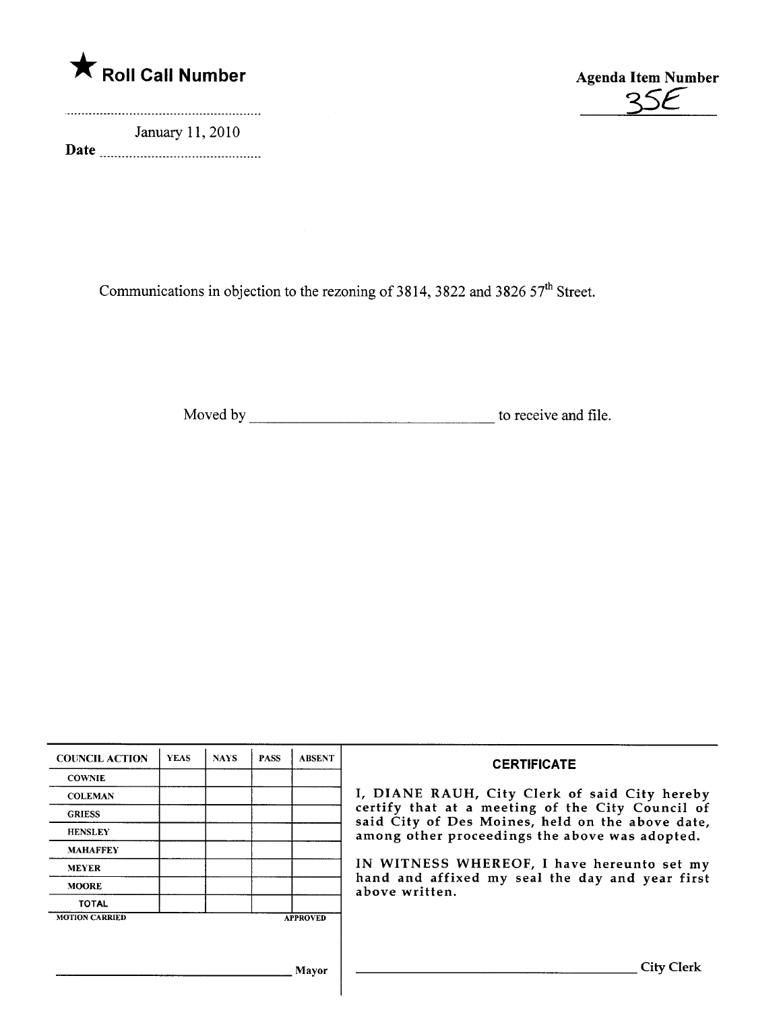

January 11, 2010 Date



Communications in objection to the rezoning of 3814, 3822 and 3826 57<sup>th</sup> Street.

Moved by to receive and fie.

| <b>COUNCIL ACTION</b> | <b>YEAS</b> | <b>NAYS</b> | <b>PASS</b> | <b>ABSENT</b>   | <b>CERTIFICATE</b>                                                                                                                                                                                                                                                        |
|-----------------------|-------------|-------------|-------------|-----------------|---------------------------------------------------------------------------------------------------------------------------------------------------------------------------------------------------------------------------------------------------------------------------|
| <b>COWNIE</b>         |             |             |             |                 |                                                                                                                                                                                                                                                                           |
| <b>COLEMAN</b>        |             |             |             |                 | I, DIANE RAUH, City Clerk of said City hereby                                                                                                                                                                                                                             |
| <b>GRIESS</b>         |             |             |             |                 | certify that at a meeting of the City Council of<br>said City of Des Moines, held on the above date,<br>among other proceedings the above was adopted.<br>IN WITNESS WHEREOF, I have hereunto set my<br>hand and affixed my seal the day and year first<br>above written. |
| <b>HENSLEY</b>        |             |             |             |                 |                                                                                                                                                                                                                                                                           |
| <b>MAHAFFEY</b>       |             |             |             |                 |                                                                                                                                                                                                                                                                           |
| <b>MEYER</b>          |             |             |             |                 |                                                                                                                                                                                                                                                                           |
| <b>MOORE</b>          |             |             |             |                 |                                                                                                                                                                                                                                                                           |
| <b>TOTAL</b>          |             |             |             |                 |                                                                                                                                                                                                                                                                           |
| <b>MOTION CARRIED</b> |             |             |             | <b>APPROVED</b> |                                                                                                                                                                                                                                                                           |
|                       |             |             |             |                 |                                                                                                                                                                                                                                                                           |
|                       |             |             |             | Mayor           | <b>City Clerk</b>                                                                                                                                                                                                                                                         |
|                       |             |             |             |                 |                                                                                                                                                                                                                                                                           |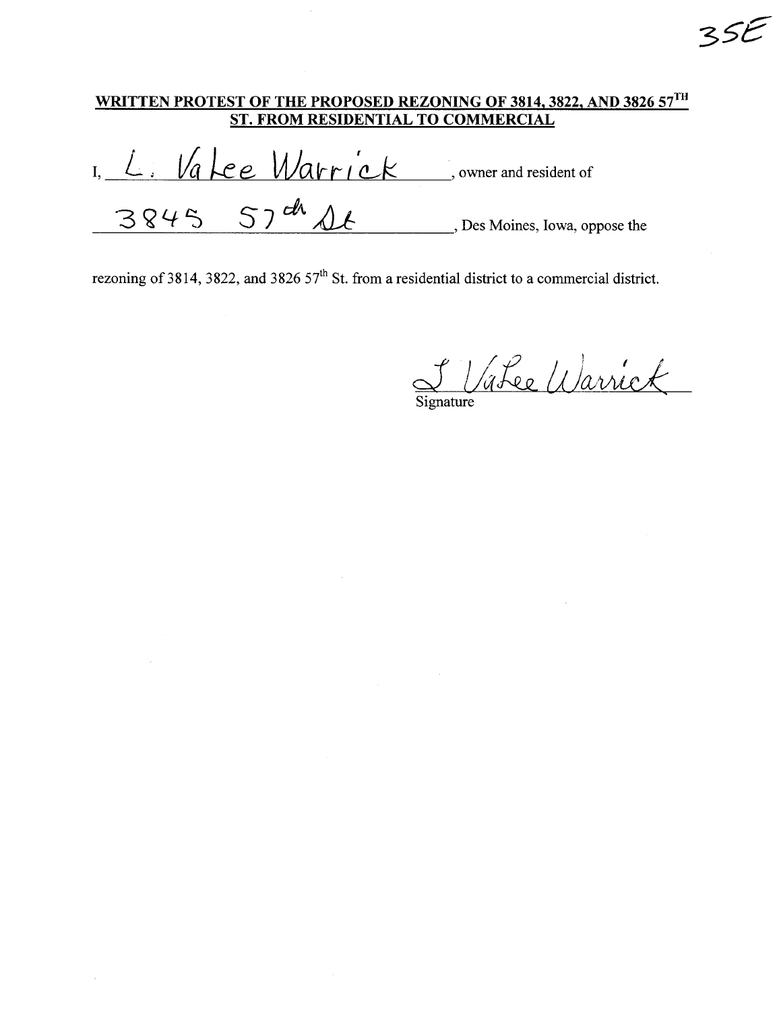I, L. Valee Warrick , owner and resident of  $3845$   $57th$   $46$   $46$   $57th$   $57th$   $58$  Moines, Iowa, oppose the

F VaLee Warrick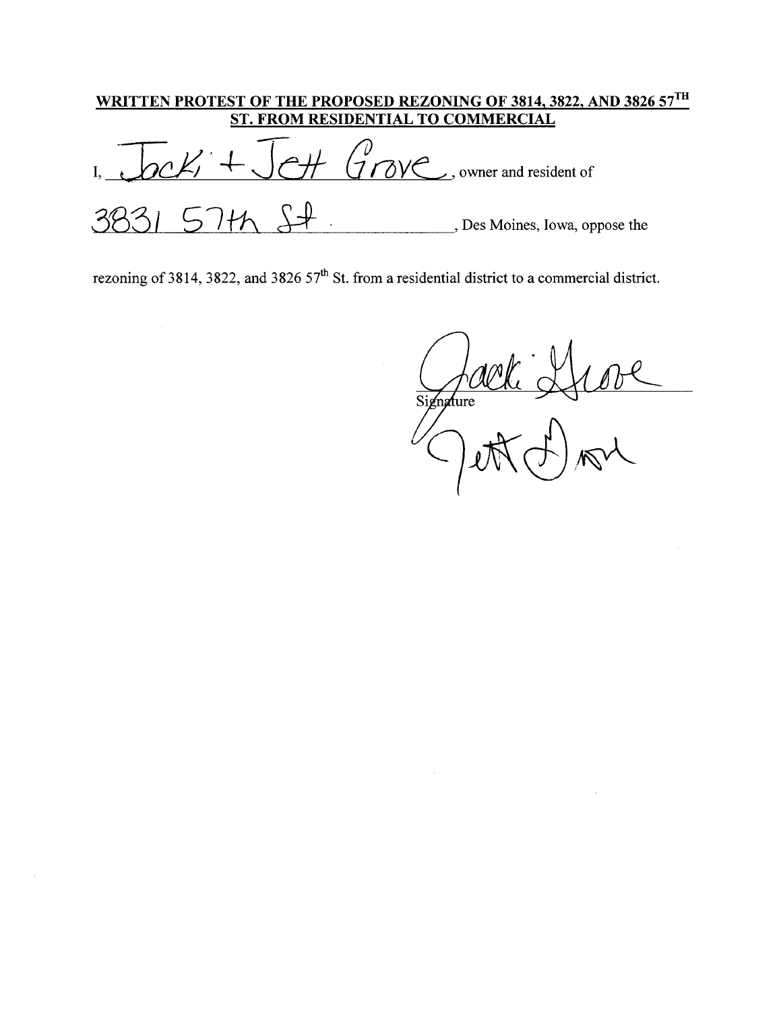|                                                                                                                                                                                                                                                                                                                                                                                      | WRITTEN PROTEST OF THE PROPOSED REZONING OF 3814, 3822, AND 3826 57TH<br>ST. FROM RESIDENTIAL TO COMMERCIAL |
|--------------------------------------------------------------------------------------------------------------------------------------------------------------------------------------------------------------------------------------------------------------------------------------------------------------------------------------------------------------------------------------|-------------------------------------------------------------------------------------------------------------|
| $\overline{C}$ $\overline{C}$ $\overline{C}$ $\overline{C}$ $\overline{C}$ $\overline{C}$ $\overline{C}$ $\overline{C}$ $\overline{C}$ $\overline{C}$ $\overline{C}$ $\overline{C}$ $\overline{C}$ $\overline{C}$ $\overline{C}$ $\overline{C}$ $\overline{C}$ $\overline{C}$ $\overline{C}$ $\overline{C}$ $\overline{C}$ $\overline{C}$ $\overline{C}$ $\overline{C}$ $\overline{$ |                                                                                                             |
|                                                                                                                                                                                                                                                                                                                                                                                      | , Des Moines, Iowa, oppose the                                                                              |

Signature Stove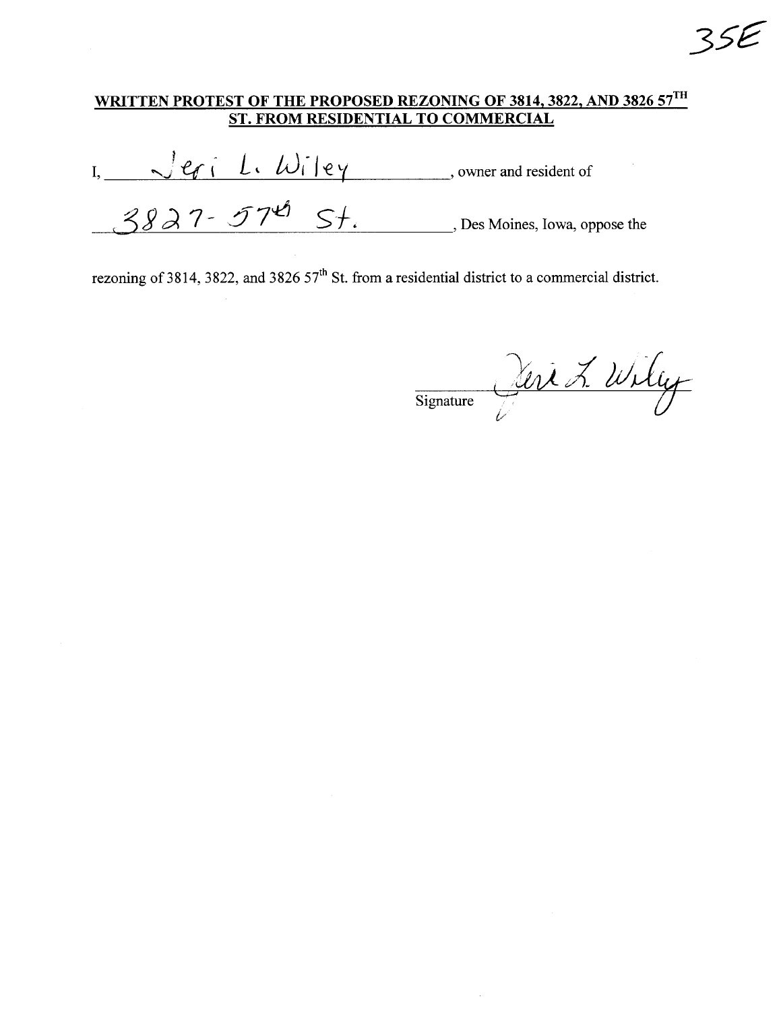$I,$   $\sqrt{e_f}$   $L.$   $W_i$   $|e_y$ , owner and resident of  $3827 - 574$  St. Des Moines, Iowa, oppose the

rezoning of 3814, 3822, and 3826  $57<sup>th</sup>$  St. from a residential district to a commercial district.

Signature Vert L. Willy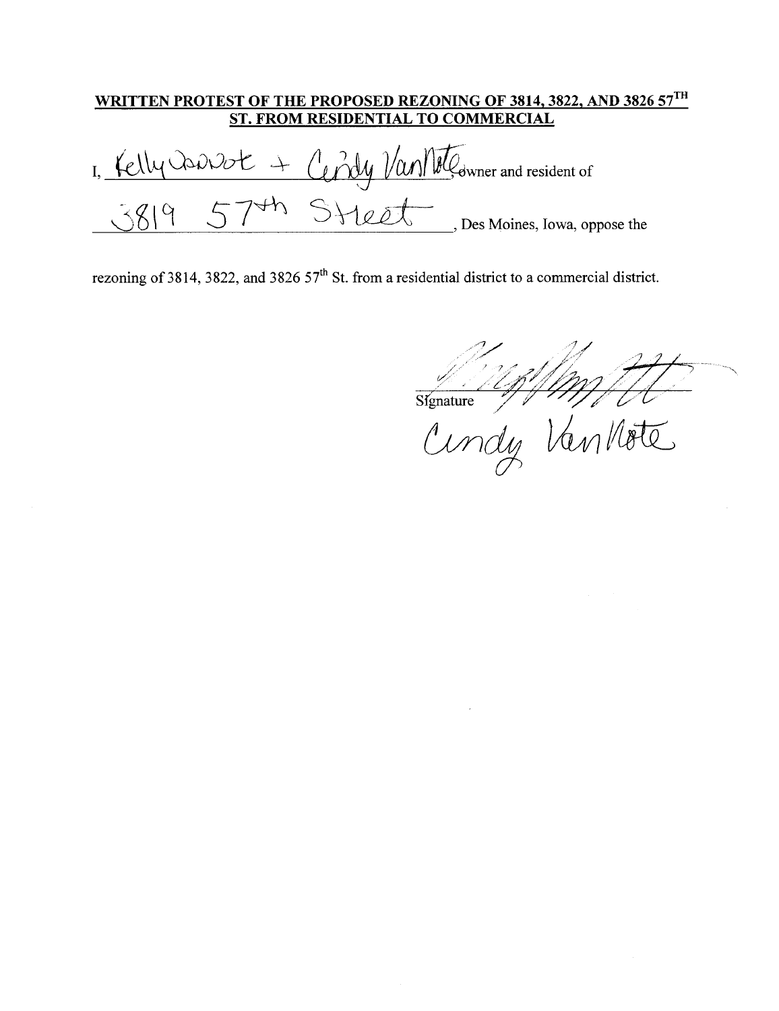Cendy Van Moteurner and resident of 1, Kelly Control +  $574h$ Steet \_\_ Des Moines, Iowa, oppose the  $3819$ 

Signature 11/1/11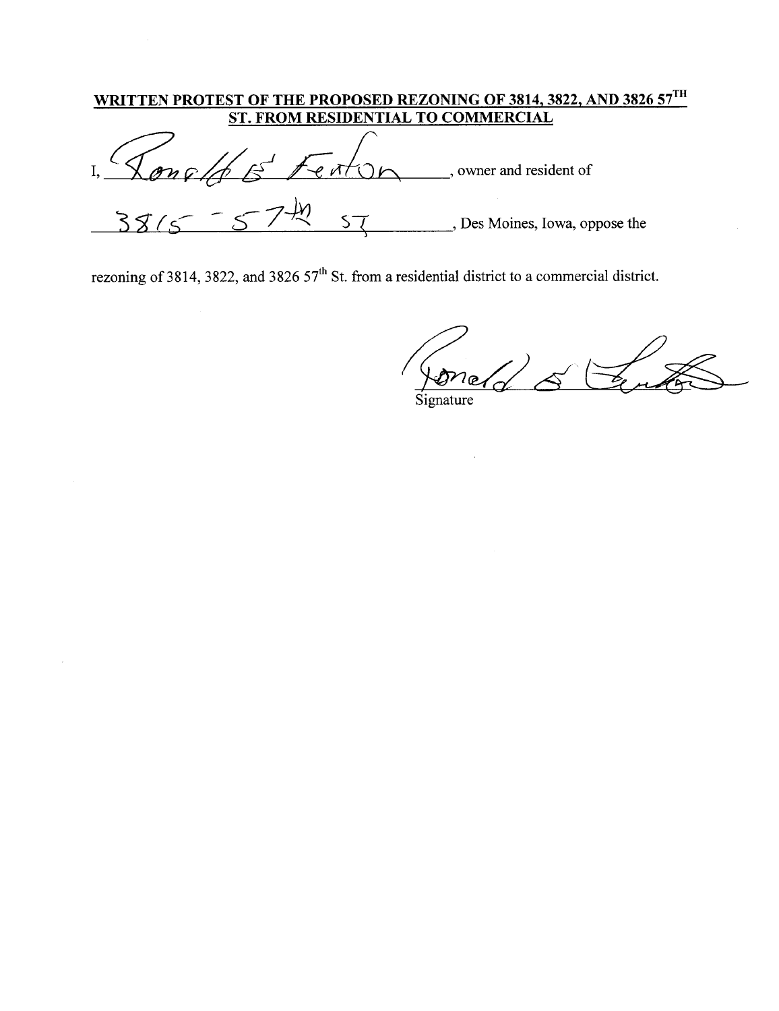| <u>'RITTEN PROTEST OF THE PROPOSED REZONING OF 3814, 3822, AND 3826 57 TH</u><br>ST. FROM RESIDENTIAL TO COMMERCIAL |                                |
|---------------------------------------------------------------------------------------------------------------------|--------------------------------|
|                                                                                                                     | owner and resident of          |
|                                                                                                                     | , Des Moines, Iowa, oppose the |

foneld & Coute  $\overline{a}$ Signature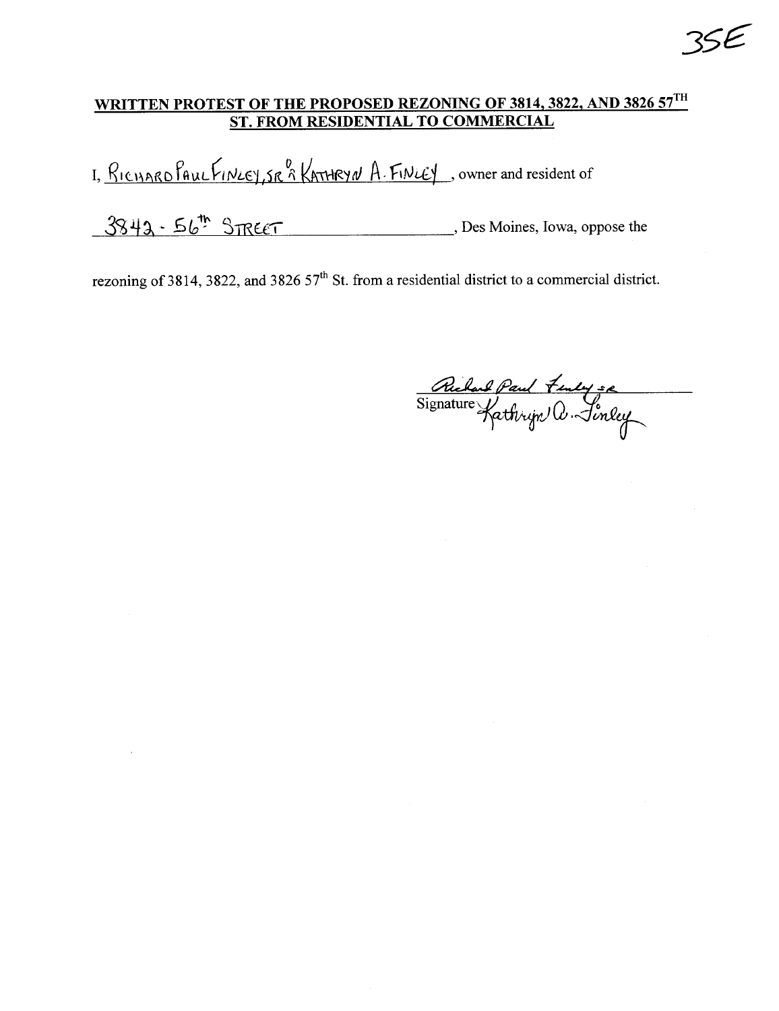I, RICHARD PAUL FINLEY, SR & KATHRYN A. FINLEY, owner and resident of

 $3843 - 56$ <sup>th</sup>  $3\pi$ eeT Bes Moines, Iowa, oppose the

rezoning of 3814, 3822, and 3826  $57<sup>th</sup>$  St. from a residential district to a commercial district.

Richard Paul Fenly se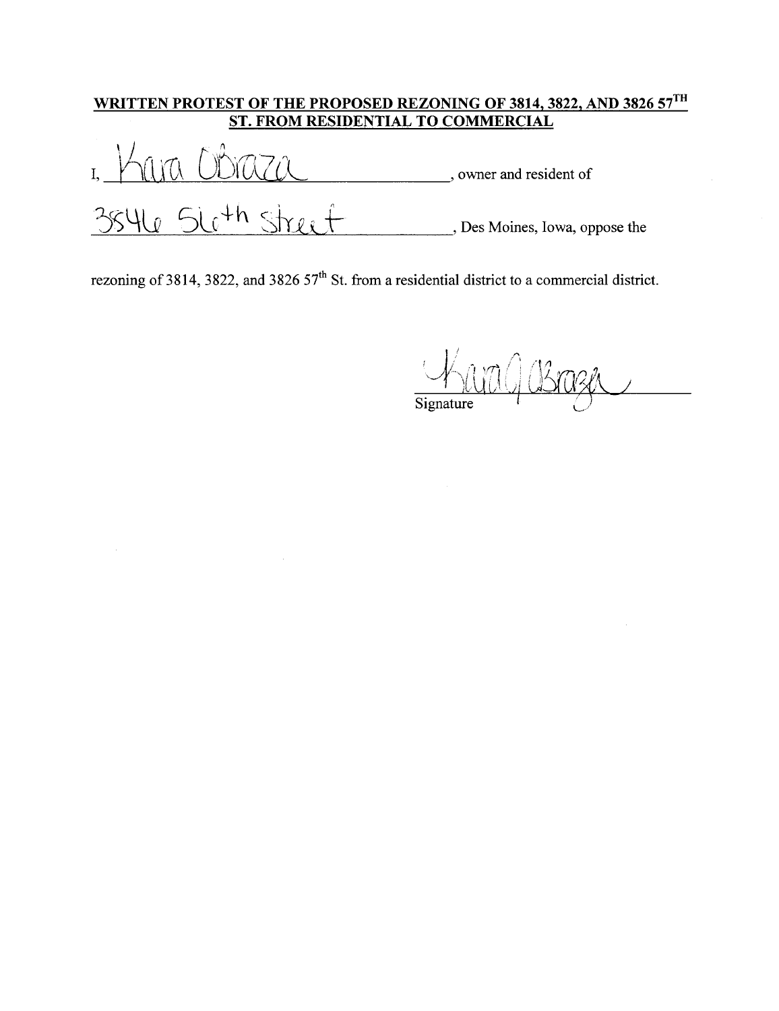## <u>WRITTEN PROTEST OF THE PROPOSED REZONING OF 3814, 3822, AND 3826 57  $^{\mathrm{H}}$ </u>

ST. FROM RESIDENTIAL TO COMMERCIAL I,  $\bigcap\{ \setminus\{ \setminus \emptyset \} \cup \bigcup\{ \setminus \bigcup\{ \setminus \emptyset \} \cup \emptyset \}$  owner and resident of  $\bigcup_{i=1}^n \bigcup_{i=1}^n \bigcup_{i=1}^n \bigcup_{i=1}^n \bigcup_{i=1}^n \bigcup_{i=1}^n \bigcup_{i=1}^n \bigcup_{i=1}^n \bigcup_{i=1}^n \bigcup_{i=1}^n \bigcup_{i=1}^n \bigcup_{i=1}^n \bigcup_{i=1}^n \bigcup_{i=1}^n \bigcup_{i=1}^n \bigcup_{i=1}^n \bigcup_{i=1}^n \bigcup_{i=1}^n \bigcup_{i=1}^n \bigcup_{i=1}^n \bigcup_{i=1}^n \bigcup_{i=1}^n$ 

 $\sqrt{4m}$ , for a set of  $\mathcal{L}$  and  $\mathcal{L}$   $\mathcal{L}$   $\mathcal{L}$   $\mathcal{L}$   $\mathcal{L}$   $\mathcal{L}$   $\mathcal{L}$   $\mathcal{L}$   $\mathcal{L}$   $\mathcal{L}$   $\mathcal{L}$   $\mathcal{L}$   $\mathcal{L}$   $\mathcal{L}$   $\mathcal{L}$   $\mathcal{L}$   $\mathcal{L}$   $\mathcal{L}$   $\mathcal{L}$   $\mathcal{L}$   $\mathcal{L}$   $\mathcal$ Signature  $\overline{\bigcup}$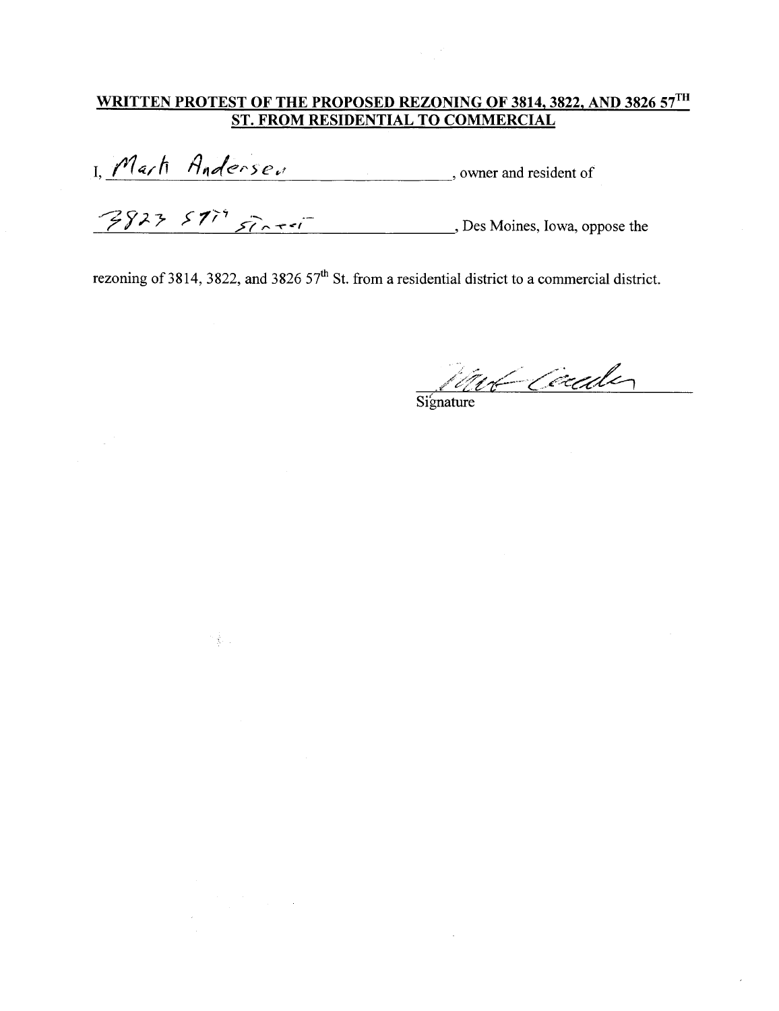기종 :

I, Marti Anderse.<br>
S823 57<sup>79</sup> Francisco Response the Response the Response the Response the

Signature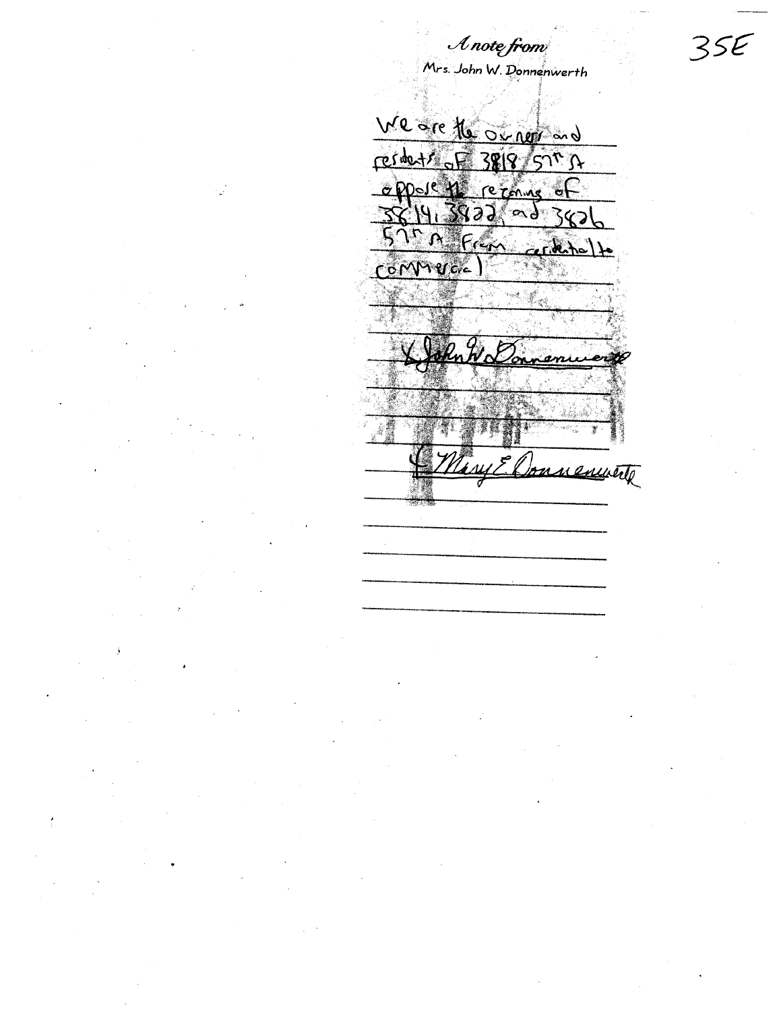Mrs. John W. Donnenwerth We are the original resolut of 3818 571 s DOOL TO reconne ा  $19.3822$ <u>रे</u>  $\sim$ d in Fran  $-$ cks COMMERCIC ami Jonnements

 $\mathcal A$  note from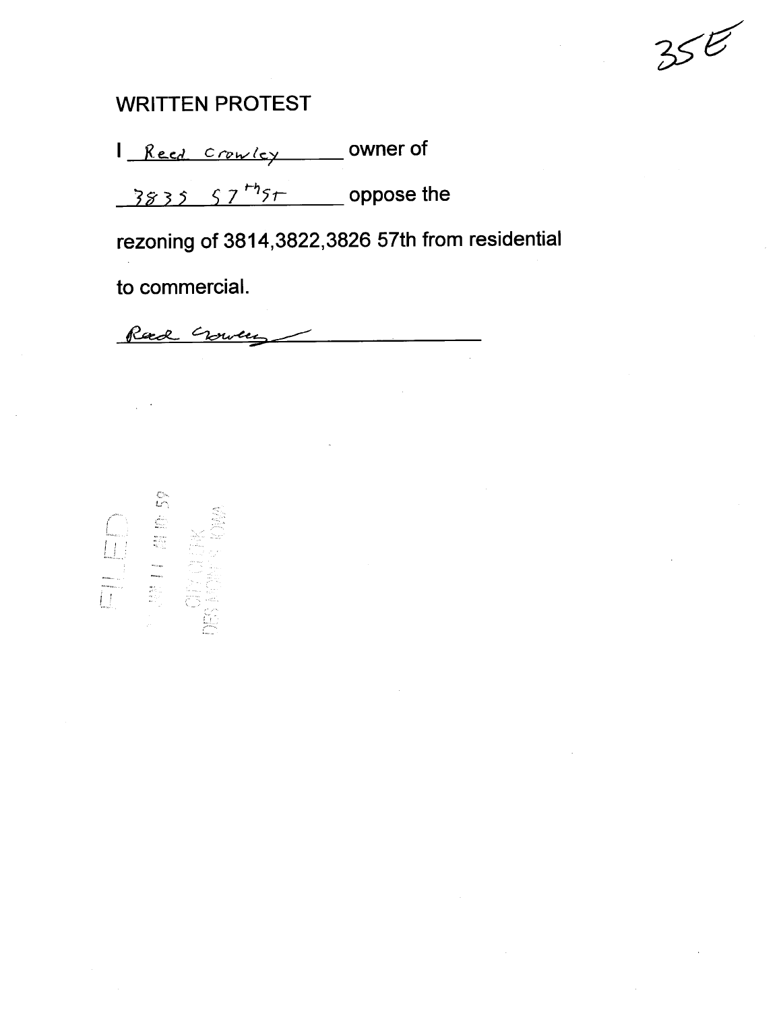### **WRITTEN PROTEST**

1 Reed Crowley Owner of

 $\frac{3835}{57^{th}5}$  oppose the

rezoning of 3814,3822,3826 57th from residential

to commercial.

Rad Cource

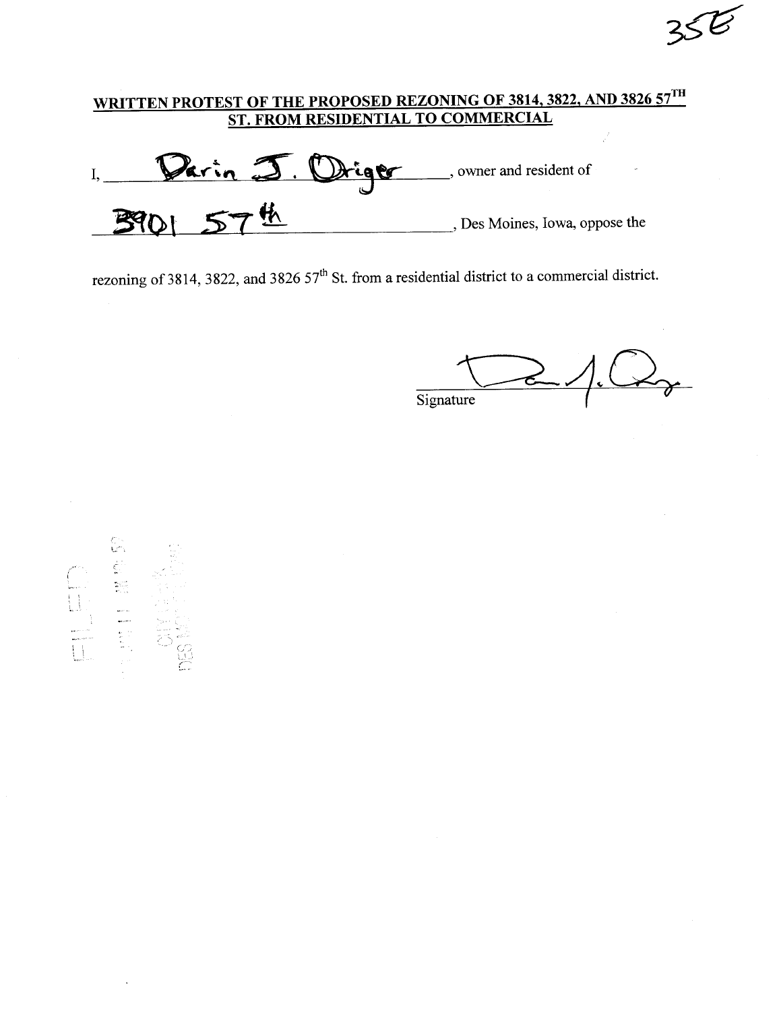Parin J. Driger , owner and resident of  $I_{\star}$ 长 Des Moines, Iowa, oppose the **ZS** 

 $\overrightarrow{c}$ Signature